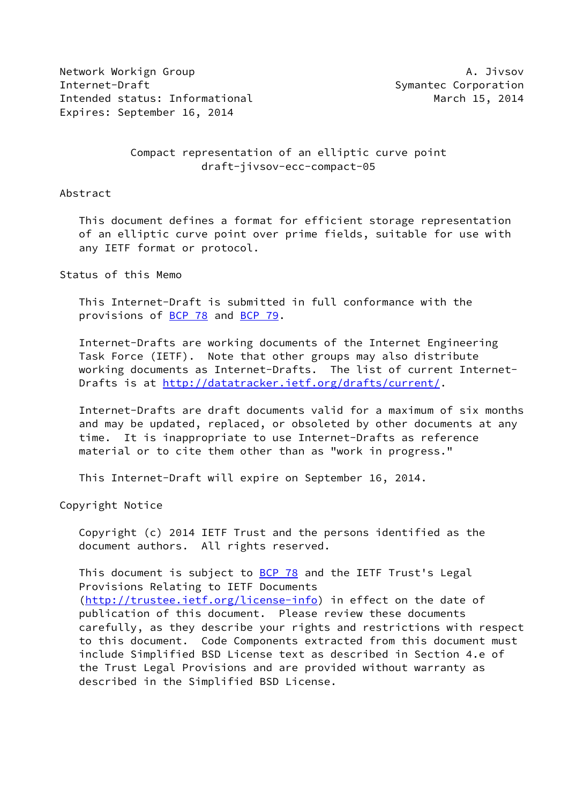Network Workign Group **A. Jivsov** A. Jivsov Internet-Draft Symantec Corporation Intended status: Informational March 15, 2014 Expires: September 16, 2014

# Compact representation of an elliptic curve point draft-jivsov-ecc-compact-05

#### Abstract

 This document defines a format for efficient storage representation of an elliptic curve point over prime fields, suitable for use with any IETF format or protocol.

Status of this Memo

 This Internet-Draft is submitted in full conformance with the provisions of [BCP 78](https://datatracker.ietf.org/doc/pdf/bcp78) and [BCP 79](https://datatracker.ietf.org/doc/pdf/bcp79).

 Internet-Drafts are working documents of the Internet Engineering Task Force (IETF). Note that other groups may also distribute working documents as Internet-Drafts. The list of current Internet Drafts is at<http://datatracker.ietf.org/drafts/current/>.

 Internet-Drafts are draft documents valid for a maximum of six months and may be updated, replaced, or obsoleted by other documents at any time. It is inappropriate to use Internet-Drafts as reference material or to cite them other than as "work in progress."

This Internet-Draft will expire on September 16, 2014.

Copyright Notice

 Copyright (c) 2014 IETF Trust and the persons identified as the document authors. All rights reserved.

This document is subject to **[BCP 78](https://datatracker.ietf.org/doc/pdf/bcp78)** and the IETF Trust's Legal Provisions Relating to IETF Documents [\(http://trustee.ietf.org/license-info](http://trustee.ietf.org/license-info)) in effect on the date of publication of this document. Please review these documents carefully, as they describe your rights and restrictions with respect to this document. Code Components extracted from this document must include Simplified BSD License text as described in Section 4.e of the Trust Legal Provisions and are provided without warranty as described in the Simplified BSD License.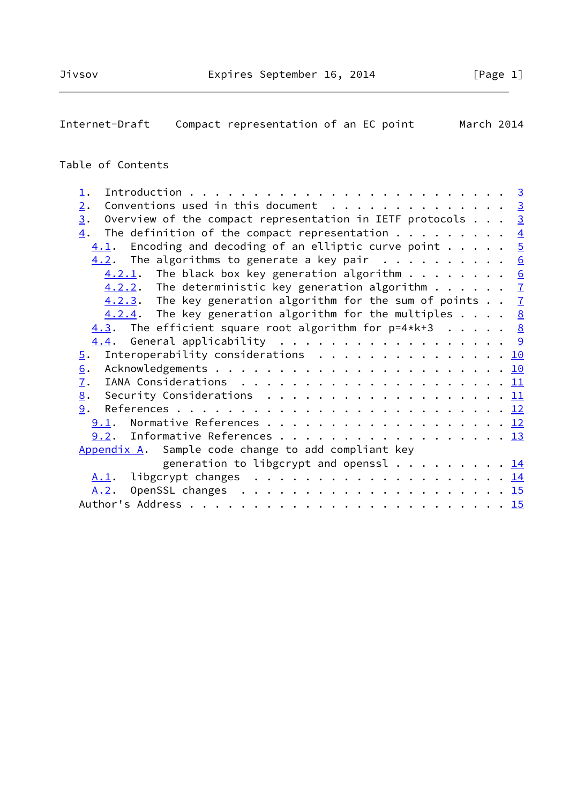| Internet-Draft |  | Compact representation of an EC point |  |  |  |  |  |  | March 2014 |
|----------------|--|---------------------------------------|--|--|--|--|--|--|------------|
|----------------|--|---------------------------------------|--|--|--|--|--|--|------------|

# Table of Contents

| $\perp$ .                                                                                                 |  |  |
|-----------------------------------------------------------------------------------------------------------|--|--|
| Conventions used in this document $\cdots$ 3<br>2.                                                        |  |  |
| Overview of the compact representation in IETF protocols $\ldots$ 3<br>3.                                 |  |  |
| The definition of the compact representation $\frac{4}{5}$<br>4.                                          |  |  |
| $\underline{4.1}$ . Encoding and decoding of an elliptic curve point $\underline{5}$                      |  |  |
| $\underline{4.2}$ . The algorithms to generate a key pair 6                                               |  |  |
| $4.2.1$ . The black box key generation algorithm 6                                                        |  |  |
| $4.2.2$ . The deterministic key generation algorithm $7$                                                  |  |  |
| 4.2.3. The key generation algorithm for the sum of points 7                                               |  |  |
| $4.2.4$ . The key generation algorithm for the multiples 8                                                |  |  |
| 4.3. The efficient square root algorithm for $p=4*k+3$ 8                                                  |  |  |
|                                                                                                           |  |  |
| Interoperability considerations $\ldots \ldots \ldots \ldots \ldots \underline{10}$<br>$\overline{5}$ .   |  |  |
| 6.                                                                                                        |  |  |
| IANA Considerations $\ldots \ldots \ldots \ldots \ldots \ldots \ldots \underline{11}$<br>$\overline{1}$ . |  |  |
| Security Considerations $\ldots \ldots \ldots \ldots \ldots \ldots \ldots \underline{11}$<br>8.           |  |  |
| 9.                                                                                                        |  |  |
|                                                                                                           |  |  |
| 9.2. Informative References 13                                                                            |  |  |
| Appendix A. Sample code change to add compliant key                                                       |  |  |
| generation to libgcrypt and openssl $14$                                                                  |  |  |
| <u>A.l</u> .                                                                                              |  |  |
| A.2.                                                                                                      |  |  |
|                                                                                                           |  |  |
|                                                                                                           |  |  |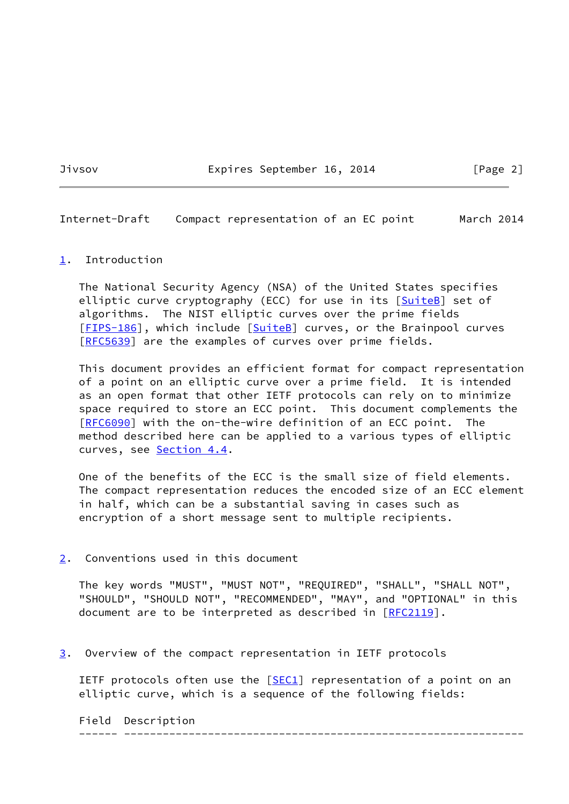Jivsov **Expires September 16, 2014** [Page 2]

<span id="page-2-1"></span>Internet-Draft Compact representation of an EC point March 2014

#### <span id="page-2-0"></span>[1](#page-2-0). Introduction

 The National Security Agency (NSA) of the United States specifies elliptic curve cryptography (ECC) for use in its [\[SuiteB](#page-14-2)] set of algorithms. The NIST elliptic curves over the prime fields [\[FIPS-186](#page-13-4)], which include [[SuiteB](#page-14-2)] curves, or the Brainpool curves [\[RFC5639](https://datatracker.ietf.org/doc/pdf/rfc5639)] are the examples of curves over prime fields.

 This document provides an efficient format for compact representation of a point on an elliptic curve over a prime field. It is intended as an open format that other IETF protocols can rely on to minimize space required to store an ECC point. This document complements the [\[RFC6090](https://datatracker.ietf.org/doc/pdf/rfc6090)] with the on-the-wire definition of an ECC point. The method described here can be applied to a various types of elliptic curves, see **Section 4.4**.

 One of the benefits of the ECC is the small size of field elements. The compact representation reduces the encoded size of an ECC element in half, which can be a substantial saving in cases such as encryption of a short message sent to multiple recipients.

# <span id="page-2-2"></span>[2](#page-2-2). Conventions used in this document

 The key words "MUST", "MUST NOT", "REQUIRED", "SHALL", "SHALL NOT", "SHOULD", "SHOULD NOT", "RECOMMENDED", "MAY", and "OPTIONAL" in this document are to be interpreted as described in [\[RFC2119](https://datatracker.ietf.org/doc/pdf/rfc2119)].

<span id="page-2-3"></span>[3](#page-2-3). Overview of the compact representation in IETF protocols

IETF protocols often use the [\[SEC1](#page-14-3)] representation of a point on an elliptic curve, which is a sequence of the following fields:

Field Description

------ --------------------------------------------------------------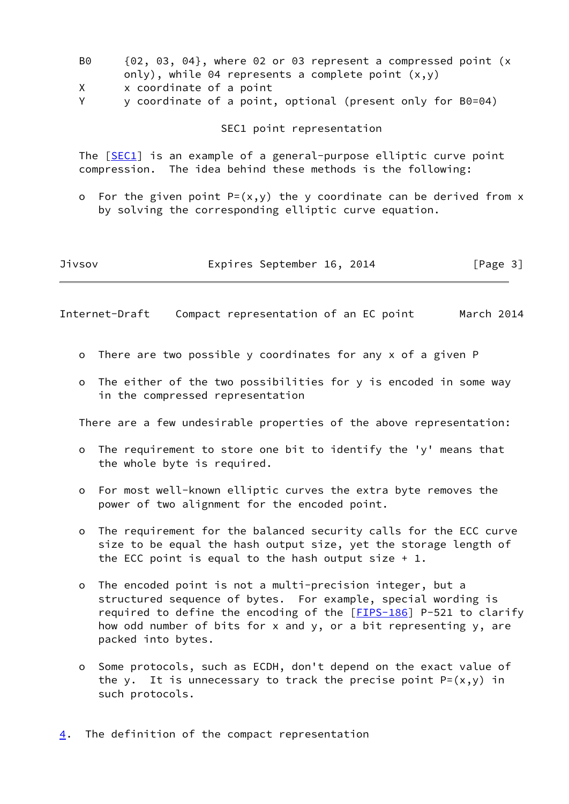- B0 {02, 03, 04}, where 02 or 03 represent a compressed point (x only), while 04 represents a complete point  $(x,y)$
- X x coordinate of a point
- Y y coordinate of a point, optional (present only for B0=04)

### SEC1 point representation

The [\[SEC1](#page-14-3)] is an example of a general-purpose elliptic curve point compression. The idea behind these methods is the following:

o For the given point  $P=(x,y)$  the y coordinate can be derived from x by solving the corresponding elliptic curve equation.

| Jivsov |  | Expires September 16, 2014 |  |  | [Page 3] |  |  |
|--------|--|----------------------------|--|--|----------|--|--|
|--------|--|----------------------------|--|--|----------|--|--|

<span id="page-3-1"></span>Internet-Draft Compact representation of an EC point March 2014

- o There are two possible y coordinates for any x of a given P
- o The either of the two possibilities for y is encoded in some way in the compressed representation

There are a few undesirable properties of the above representation:

- o The requirement to store one bit to identify the 'y' means that the whole byte is required.
- o For most well-known elliptic curves the extra byte removes the power of two alignment for the encoded point.
- o The requirement for the balanced security calls for the ECC curve size to be equal the hash output size, yet the storage length of the ECC point is equal to the hash output size  $+1$ .
- o The encoded point is not a multi-precision integer, but a structured sequence of bytes. For example, special wording is required to define the encoding of the [[FIPS-186\]](#page-13-4) P-521 to clarify how odd number of bits for x and y, or a bit representing y, are packed into bytes.
- o Some protocols, such as ECDH, don't depend on the exact value of the y. It is unnecessary to track the precise point  $P=(x,y)$  in such protocols.
- <span id="page-3-0"></span> $\underline{4}$  $\underline{4}$  $\underline{4}$ . The definition of the compact representation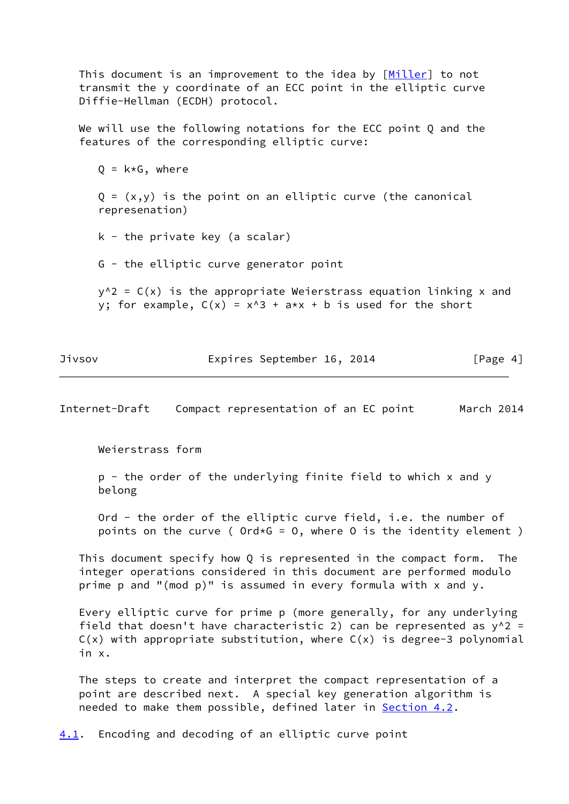This document is an improvement to the idea by [\[Miller](#page-14-4)] to not transmit the y coordinate of an ECC point in the elliptic curve Diffie-Hellman (ECDH) protocol. We will use the following notations for the ECC point Q and the features of the corresponding elliptic curve:  $Q = k \star G$ , where  $Q = (x,y)$  is the point on an elliptic curve (the canonical represenation)  $k - th$ e private key (a scalar) G - the elliptic curve generator point  $y^2 = C(x)$  is the appropriate Weierstrass equation linking x and y; for example,  $C(x) = x^3 + ax + b$  is used for the short

Jivsov Expires September 16, 2014 [Page 4]

<span id="page-4-1"></span>Internet-Draft Compact representation of an EC point March 2014

Weierstrass form

 p - the order of the underlying finite field to which x and y belong

 Ord - the order of the elliptic curve field, i.e. the number of points on the curve (  $Ord*G = 0$ , where 0 is the identity element )

 This document specify how Q is represented in the compact form. The integer operations considered in this document are performed modulo prime p and "(mod p)" is assumed in every formula with x and y.

 Every elliptic curve for prime p (more generally, for any underlying field that doesn't have characteristic 2) can be represented as  $y^2$  =  $C(x)$  with appropriate substitution, where  $C(x)$  is degree-3 polynomial in x.

 The steps to create and interpret the compact representation of a point are described next. A special key generation algorithm is needed to make them possible, defined later in **[Section 4.2](#page-5-0)**.

<span id="page-4-0"></span>[4.1](#page-4-0). Encoding and decoding of an elliptic curve point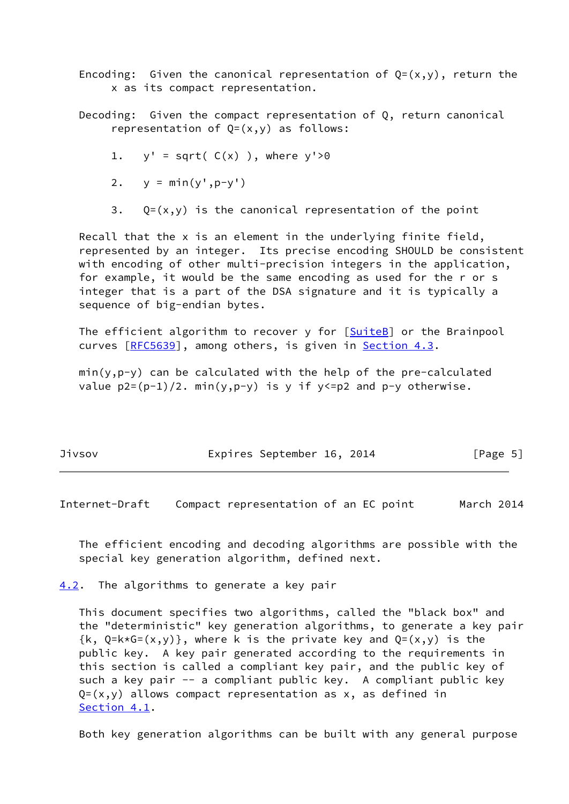Encoding: Given the canonical representation of  $Q=(x,y)$ , return the x as its compact representation.

- Decoding: Given the compact representation of Q, return canonical representation of  $Q=(x,y)$  as follows:
	- 1.  $y' = sqrt(C(x))$ , where  $y' > 0$
	- 2.  $y = min(y', p-y')$
	- 3.  $Q=(x,y)$  is the canonical representation of the point

 Recall that the x is an element in the underlying finite field, represented by an integer. Its precise encoding SHOULD be consistent with encoding of other multi-precision integers in the application, for example, it would be the same encoding as used for the r or s integer that is a part of the DSA signature and it is typically a sequence of big-endian bytes.

The efficient algorithm to recover y for [\[SuiteB](#page-14-2)] or the Brainpool curves [\[RFC5639](https://datatracker.ietf.org/doc/pdf/rfc5639)], among others, is given in [Section 4.3.](#page-8-1)

 $min(y, p-y)$  can be calculated with the help of the pre-calculated value  $p2=(p-1)/2$ . min(y,p-y) is y if y<=p2 and p-y otherwise.

| Jivsov |  | Expires September 16, 2014 |  |  | [Page 5] |  |  |
|--------|--|----------------------------|--|--|----------|--|--|
|--------|--|----------------------------|--|--|----------|--|--|

<span id="page-5-1"></span>Internet-Draft Compact representation of an EC point March 2014

 The efficient encoding and decoding algorithms are possible with the special key generation algorithm, defined next.

<span id="page-5-0"></span>[4.2](#page-5-0). The algorithms to generate a key pair

 This document specifies two algorithms, called the "black box" and the "deterministic" key generation algorithms, to generate a key pair  ${k, Q=k*G=(x,y)}$ , where k is the private key and  $Q=(x,y)$  is the public key. A key pair generated according to the requirements in this section is called a compliant key pair, and the public key of such a key pair -- a compliant public key. A compliant public key  $Q=(x,y)$  allows compact representation as x, as defined in [Section 4.1](#page-4-0).

Both key generation algorithms can be built with any general purpose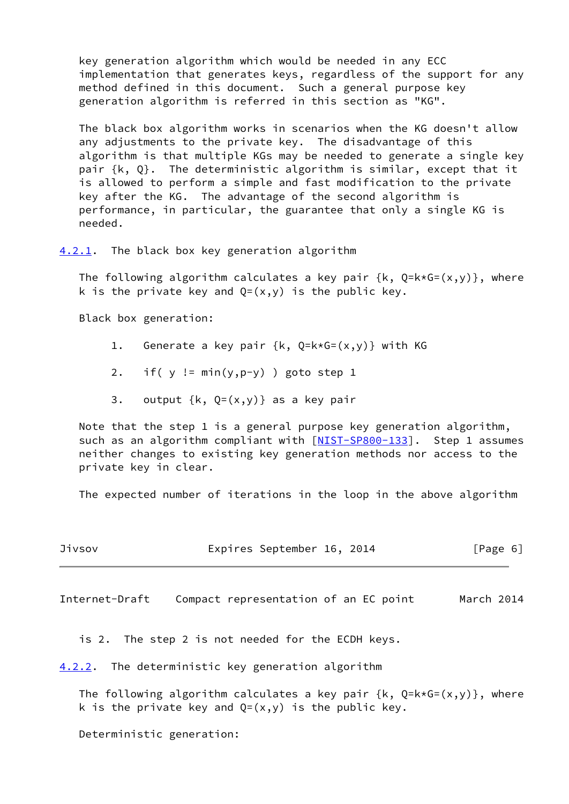key generation algorithm which would be needed in any ECC implementation that generates keys, regardless of the support for any method defined in this document. Such a general purpose key generation algorithm is referred in this section as "KG".

 The black box algorithm works in scenarios when the KG doesn't allow any adjustments to the private key. The disadvantage of this algorithm is that multiple KGs may be needed to generate a single key pair  $\{k, Q\}$ . The deterministic algorithm is similar, except that it is allowed to perform a simple and fast modification to the private key after the KG. The advantage of the second algorithm is performance, in particular, the guarantee that only a single KG is needed.

<span id="page-6-0"></span>[4.2.1](#page-6-0). The black box key generation algorithm

The following algorithm calculates a key pair  $\{k, Q=k*G=(x,y)\}\,$ , where k is the private key and  $Q=(x,y)$  is the public key.

Black box generation:

- 1. Generate a key pair  $\{k, Q=k*G=(x,y)\}\$  with KG
- 2. if(  $y := min(y, p-y)$  ) goto step 1
- 3. output  $\{k, Q=(x,y)\}$  as a key pair

 Note that the step 1 is a general purpose key generation algorithm, such as an algorithm compliant with [\[NIST-SP800-133](#page-14-5)]. Step 1 assumes neither changes to existing key generation methods nor access to the private key in clear.

The expected number of iterations in the loop in the above algorithm

| - -<br>Jivsov |  | Expires September 16, 2014 |  |  | [Page 6] |  |  |
|---------------|--|----------------------------|--|--|----------|--|--|
|---------------|--|----------------------------|--|--|----------|--|--|

<span id="page-6-2"></span>Internet-Draft Compact representation of an EC point March 2014

is 2. The step 2 is not needed for the ECDH keys.

<span id="page-6-1"></span>[4.2.2](#page-6-1). The deterministic key generation algorithm

The following algorithm calculates a key pair  $\{k, Q=k*G=(x,y)\}\$ , where k is the private key and  $Q=(x,y)$  is the public key.

Deterministic generation: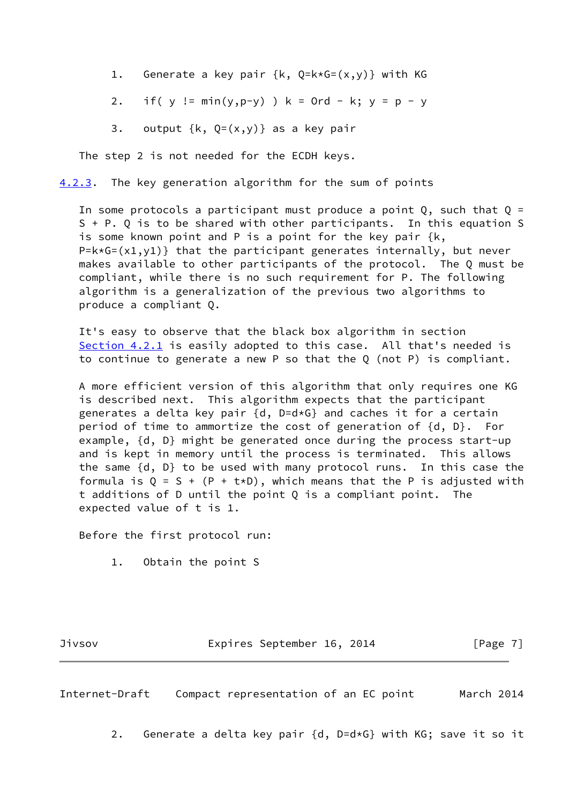- 1. Generate a key pair  $\{k, Q=k*G=(x,y)\}$  with KG
- 2. if(  $y := min(y, p-y)$  )  $k = 0$ rd k;  $y = p y$
- 3. output  $\{k, Q=(x,y)\}$  as a key pair

The step 2 is not needed for the ECDH keys.

<span id="page-7-0"></span>[4.2.3](#page-7-0). The key generation algorithm for the sum of points

In some protocols a participant must produce a point  $Q$ , such that  $Q =$  S + P. Q is to be shared with other participants. In this equation S is some known point and P is a point for the key pair  $\{k,$  $P=k*G=(x1,y1)$ } that the participant generates internally, but never makes available to other participants of the protocol. The Q must be compliant, while there is no such requirement for P. The following algorithm is a generalization of the previous two algorithms to produce a compliant Q.

 It's easy to observe that the black box algorithm in section [Section 4.2.1](#page-6-0) is easily adopted to this case. All that's needed is to continue to generate a new P so that the Q (not P) is compliant.

 A more efficient version of this algorithm that only requires one KG is described next. This algorithm expects that the participant generates a delta key pair {d, D=d\*G} and caches it for a certain period of time to ammortize the cost of generation of {d, D}. For example, {d, D} might be generated once during the process start-up and is kept in memory until the process is terminated. This allows the same {d, D} to be used with many protocol runs. In this case the formula is  $Q = S + (P + t*D)$ , which means that the P is adjusted with t additions of D until the point Q is a compliant point. The expected value of t is 1.

Before the first protocol run:

1. Obtain the point S

Jivsov **Expires September 16, 2014** [Page 7]

<span id="page-7-1"></span>Internet-Draft Compact representation of an EC point March 2014

2. Generate a delta key pair {d, D=d\*G} with KG; save it so it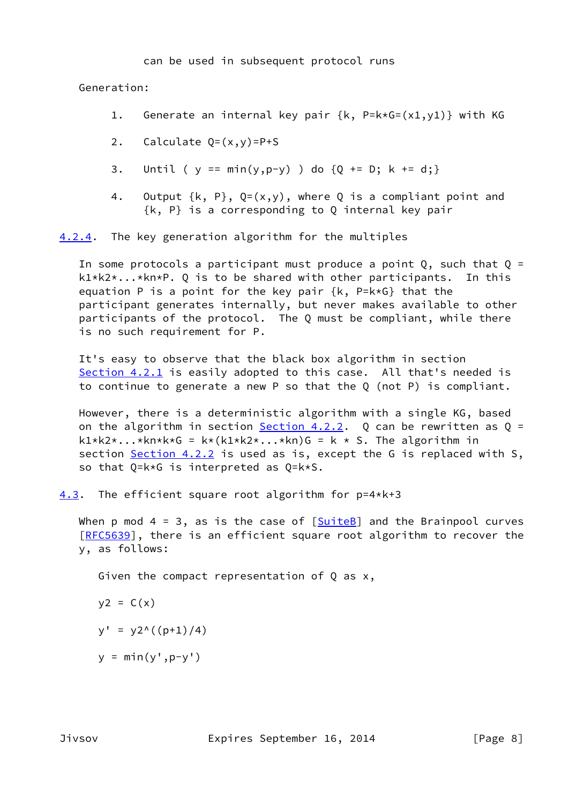## can be used in subsequent protocol runs

Generation:

- 1. Generate an internal key pair  $\{k, P=k*G=(x1,y1)\}$  with KG
- 2. Calculate Q=(x,y)=P+S
- 3. Until (  $y == min(y, p-y)$  ) do  ${Q += D; k += d;}$
- 4. Output  $\{k, P\}$ ,  $Q=(x,y)$ , where Q is a compliant point and {k, P} is a corresponding to Q internal key pair

<span id="page-8-0"></span>[4.2.4](#page-8-0). The key generation algorithm for the multiples

In some protocols a participant must produce a point  $Q$ , such that  $Q =$  k1\*k2\*...\*kn\*P. Q is to be shared with other participants. In this equation P is a point for the key pair  $\{k, P=k*G\}$  that the participant generates internally, but never makes available to other participants of the protocol. The Q must be compliant, while there is no such requirement for P.

 It's easy to observe that the black box algorithm in section [Section 4.2.1](#page-6-0) is easily adopted to this case. All that's needed is to continue to generate a new P so that the Q (not P) is compliant.

 However, there is a deterministic algorithm with a single KG, based on the algorithm in section  $Section 4.2.2$ . Q can be rewritten as Q =  $k1*k2*...*kn*k*G = k*(k1*k2*...*kn)G = k * S.$  The algorithm in section [Section 4.2.2](#page-6-1) is used as is, except the G is replaced with S, so that Q=k\*G is interpreted as Q=k\*S.

<span id="page-8-1"></span>[4.3](#page-8-1). The efficient square root algorithm for p=4\*k+3

When p mod  $4 = 3$ , as is the case of [\[SuiteB](#page-14-2)] and the Brainpool curves [\[RFC5639](https://datatracker.ietf.org/doc/pdf/rfc5639)], there is an efficient square root algorithm to recover the y, as follows:

Given the compact representation of Q as x,

$$
y2 = C(x)
$$

$$
y' = y2^((p+1)/4)
$$

$$
y = \min(y', p-y')
$$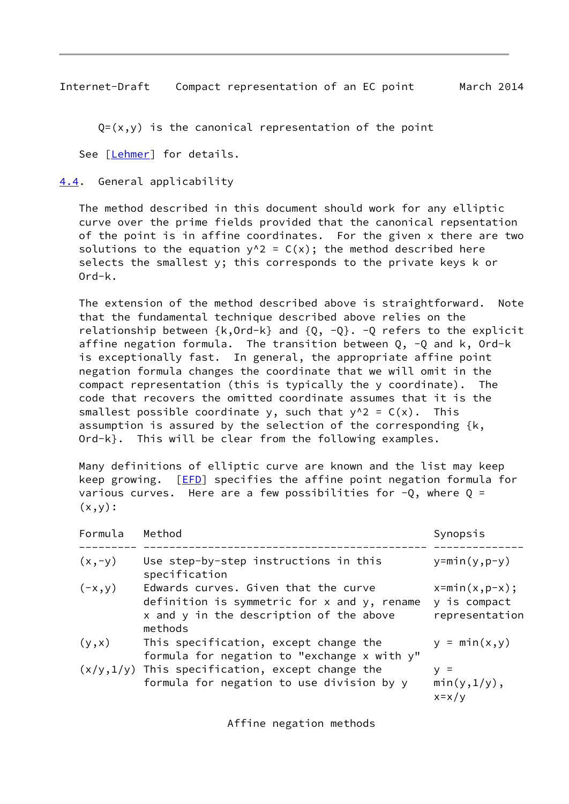<span id="page-9-1"></span>Internet-Draft Compact representation of an EC point March 2014

 $Q=(x,y)$  is the canonical representation of the point

See [\[Lehmer](#page-13-5)] for details.

<span id="page-9-0"></span>[4.4](#page-9-0). General applicability

 The method described in this document should work for any elliptic curve over the prime fields provided that the canonical repsentation of the point is in affine coordinates. For the given x there are two solutions to the equation  $y^2 = C(x)$ ; the method described here selects the smallest y; this corresponds to the private keys k or Ord-k.

 The extension of the method described above is straightforward. Note that the fundamental technique described above relies on the relationship between  $\{k, 0rd-k\}$  and  $\{Q, -Q\}$ . -Q refers to the explicit affine negation formula. The transition between  $Q$ ,  $-Q$  and  $k$ , Ord- $k$  is exceptionally fast. In general, the appropriate affine point negation formula changes the coordinate that we will omit in the compact representation (this is typically the y coordinate). The code that recovers the omitted coordinate assumes that it is the smallest possible coordinate y, such that  $y^2 = C(x)$ . This assumption is assured by the selection of the corresponding  $\{k,$ Ord-k}. This will be clear from the following examples.

 Many definitions of elliptic curve are known and the list may keep keep growing. [\[EFD](#page-13-6)] specifies the affine point negation formula for various curves. Here are a few possibilities for  $-Q$ , where  $Q =$  $(x,y)$ :

| Formula   | Method                                                                                                                                         | Synopsis                                             |
|-----------|------------------------------------------------------------------------------------------------------------------------------------------------|------------------------------------------------------|
| $(x, -y)$ | Use step-by-step instructions in this<br>specification                                                                                         | $y = min(y, p-y)$                                    |
| $(-x, y)$ | Edwards curves. Given that the curve<br>definition is symmetric for $x$ and $y$ , rename<br>x and y in the description of the above<br>methods | $x = min(x, p-x);$<br>y is compact<br>representation |
| (y, x)    | This specification, except change the<br>formula for negation to "exchange x with y"                                                           | $y = min(x,y)$                                       |
|           | $(x/y, 1/y)$ This specification, except change the<br>formula for negation to use division by y                                                | $V =$<br>$min(y, 1/y)$ ,<br>$x = x/y$                |

Affine negation methods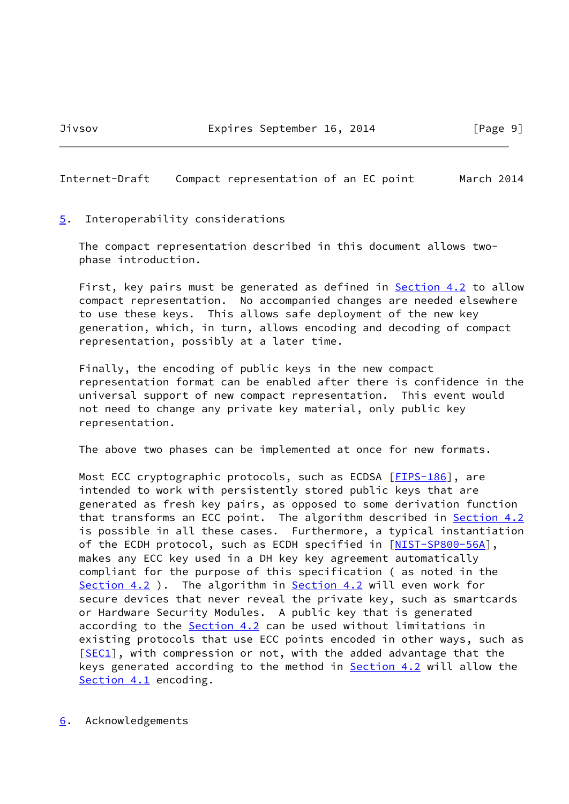Jivsov **Expires September 16, 2014** [Page 9]

<span id="page-10-1"></span>Internet-Draft Compact representation of an EC point March 2014

## <span id="page-10-0"></span>[5](#page-10-0). Interoperability considerations

 The compact representation described in this document allows two phase introduction.

First, key pairs must be generated as defined in **Section 4.2** to allow compact representation. No accompanied changes are needed elsewhere to use these keys. This allows safe deployment of the new key generation, which, in turn, allows encoding and decoding of compact representation, possibly at a later time.

 Finally, the encoding of public keys in the new compact representation format can be enabled after there is confidence in the universal support of new compact representation. This event would not need to change any private key material, only public key representation.

The above two phases can be implemented at once for new formats.

Most ECC cryptographic protocols, such as ECDSA [\[FIPS-186](#page-13-4)], are intended to work with persistently stored public keys that are generated as fresh key pairs, as opposed to some derivation function that transforms an ECC point. The algorithm described in [Section 4.2](#page-5-0) is possible in all these cases. Furthermore, a typical instantiation of the ECDH protocol, such as ECDH specified in [\[NIST-SP800-56A](#page-14-6)], makes any ECC key used in a DH key key agreement automatically compliant for the purpose of this specification ( as noted in the [Section 4.2](#page-5-0) ). The algorithm in [Section 4.2](#page-5-0) will even work for secure devices that never reveal the private key, such as smartcards or Hardware Security Modules. A public key that is generated according to the [Section 4.2](#page-5-0) can be used without limitations in existing protocols that use ECC points encoded in other ways, such as [\[SEC1](#page-14-3)], with compression or not, with the added advantage that the keys generated according to the method in [Section 4.2](#page-5-0) will allow the [Section 4.1](#page-4-0) encoding.

<span id="page-10-2"></span>[6](#page-10-2). Acknowledgements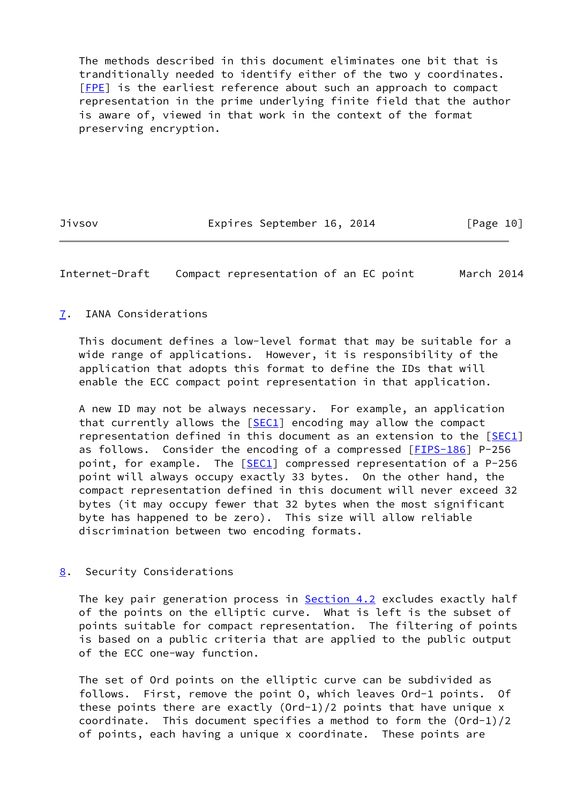The methods described in this document eliminates one bit that is tranditionally needed to identify either of the two y coordinates. [\[FPE](#page-13-7)] is the earliest reference about such an approach to compact representation in the prime underlying finite field that the author is aware of, viewed in that work in the context of the format preserving encryption.

Jivsov **Expires September 16, 2014** [Page 10]

<span id="page-11-1"></span>Internet-Draft Compact representation of an EC point March 2014

<span id="page-11-0"></span>[7](#page-11-0). IANA Considerations

 This document defines a low-level format that may be suitable for a wide range of applications. However, it is responsibility of the application that adopts this format to define the IDs that will enable the ECC compact point representation in that application.

 A new ID may not be always necessary. For example, an application that currently allows the [[SEC1\]](#page-14-3) encoding may allow the compact representation defined in this document as an extension to the  $[SEC1]$  $[SEC1]$ as follows. Consider the encoding of a compressed [[FIPS-186\]](#page-13-4) P-256 point, for example. The [\[SEC1](#page-14-3)] compressed representation of a P-256 point will always occupy exactly 33 bytes. On the other hand, the compact representation defined in this document will never exceed 32 bytes (it may occupy fewer that 32 bytes when the most significant byte has happened to be zero). This size will allow reliable discrimination between two encoding formats.

<span id="page-11-2"></span>[8](#page-11-2). Security Considerations

The key pair generation process in **[Section 4.2](#page-5-0)** excludes exactly half of the points on the elliptic curve. What is left is the subset of points suitable for compact representation. The filtering of points is based on a public criteria that are applied to the public output of the ECC one-way function.

 The set of Ord points on the elliptic curve can be subdivided as follows. First, remove the point O, which leaves Ord-1 points. Of these points there are exactly  $(Ord-1)/2$  points that have unique x coordinate. This document specifies a method to form the (Ord-1)/2 of points, each having a unique x coordinate. These points are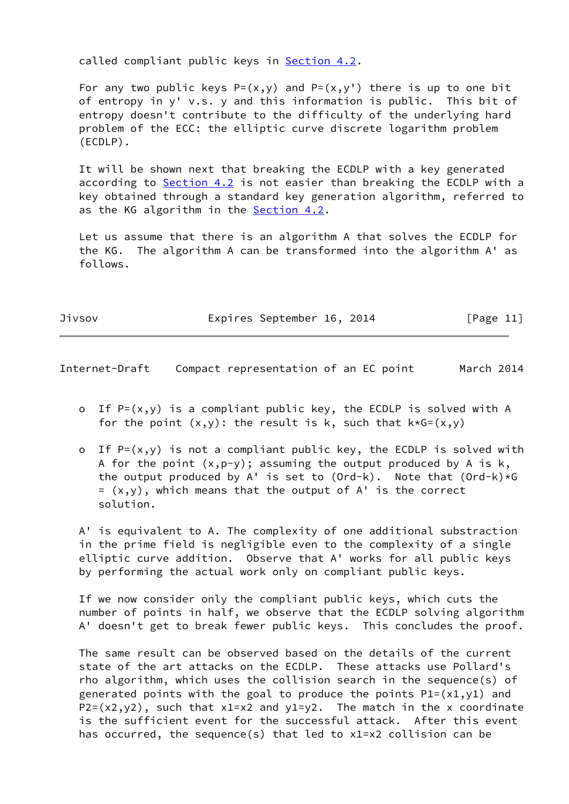called compliant public keys in [Section 4.2](#page-5-0).

For any two public keys  $P=(x,y)$  and  $P=(x,y')$  there is up to one bit of entropy in y' v.s. y and this information is public. This bit of entropy doesn't contribute to the difficulty of the underlying hard problem of the ECC: the elliptic curve discrete logarithm problem (ECDLP).

 It will be shown next that breaking the ECDLP with a key generated according to [Section 4.2](#page-5-0) is not easier than breaking the ECDLP with a key obtained through a standard key generation algorithm, referred to as the KG algorithm in the [Section 4.2](#page-5-0).

 Let us assume that there is an algorithm A that solves the ECDLP for the KG. The algorithm A can be transformed into the algorithm A' as follows.

Jivsov Expires September 16, 2014 [Page 11]

<span id="page-12-0"></span>Internet-Draft Compact representation of an EC point March 2014

- o If  $P=(x,y)$  is a compliant public key, the ECDLP is solved with A for the point  $(x,y)$ : the result is k, such that  $k*G=(x,y)$
- o If  $P=(x,y)$  is not a compliant public key, the ECDLP is solved with A for the point  $(x, p-y)$ ; assuming the output produced by A is k, the output produced by A' is set to  $(Ord-k)$ . Note that  $(Ord-k)*G$  $= (x,y)$ , which means that the output of A' is the correct solution.

 A' is equivalent to A. The complexity of one additional substraction in the prime field is negligible even to the complexity of a single elliptic curve addition. Observe that A' works for all public keys by performing the actual work only on compliant public keys.

 If we now consider only the compliant public keys, which cuts the number of points in half, we observe that the ECDLP solving algorithm A' doesn't get to break fewer public keys. This concludes the proof.

 The same result can be observed based on the details of the current state of the art attacks on the ECDLP. These attacks use Pollard's rho algorithm, which uses the collision search in the sequence(s) of generated points with the goal to produce the points  $PI=(x1,y1)$  and  $P2=(x2,y2)$ , such that  $x1=x2$  and  $y1=y2$ . The match in the x coordinate is the sufficient event for the successful attack. After this event has occurred, the sequence(s) that led to x1=x2 collision can be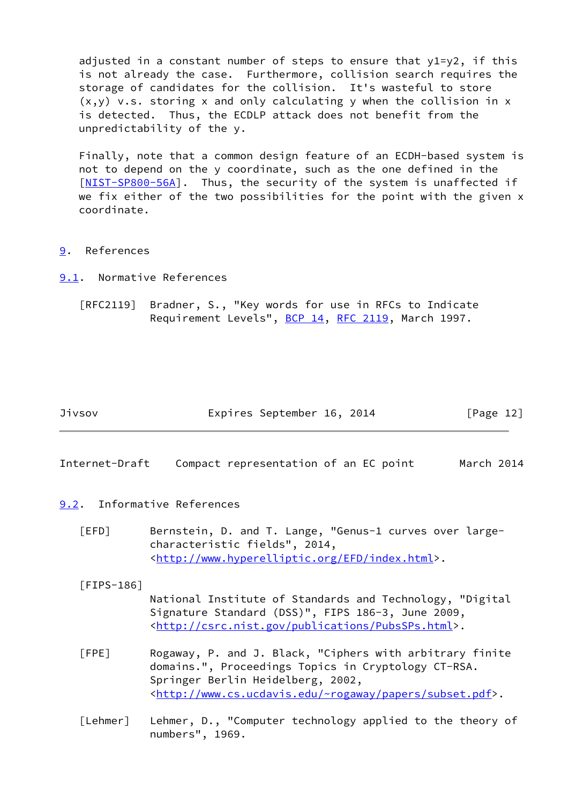adjusted in a constant number of steps to ensure that  $y1=y2$ , if this is not already the case. Furthermore, collision search requires the storage of candidates for the collision. It's wasteful to store  $(x,y)$  v.s. storing x and only calculating y when the collision in x is detected. Thus, the ECDLP attack does not benefit from the unpredictability of the y.

 Finally, note that a common design feature of an ECDH-based system is not to depend on the y coordinate, such as the one defined in the [\[NIST-SP800-56A](#page-14-6)]. Thus, the security of the system is unaffected if we fix either of the two possibilities for the point with the given x coordinate.

- <span id="page-13-0"></span>[9](#page-13-0). References
- <span id="page-13-1"></span>[9.1](#page-13-1). Normative References

 [RFC2119] Bradner, S., "Key words for use in RFCs to Indicate Requirement Levels", [BCP 14](https://datatracker.ietf.org/doc/pdf/bcp14), [RFC 2119](https://datatracker.ietf.org/doc/pdf/rfc2119), March 1997.

Jivsov Expires September 16, 2014 [Page 12]

<span id="page-13-3"></span>Internet-Draft Compact representation of an EC point March 2014

## <span id="page-13-2"></span>[9.2](#page-13-2). Informative References

- <span id="page-13-6"></span> [EFD] Bernstein, D. and T. Lange, "Genus-1 curves over large characteristic fields", 2014, <[http://www.hyperelliptic.org/EFD/index.html>](http://www.hyperelliptic.org/EFD/index.html).
- <span id="page-13-4"></span>[FIPS-186]

 National Institute of Standards and Technology, "Digital Signature Standard (DSS)", FIPS 186-3, June 2009, <<http://csrc.nist.gov/publications/PubsSPs.html>>.

- <span id="page-13-7"></span> [FPE] Rogaway, P. and J. Black, "Ciphers with arbitrary finite domains.", Proceedings Topics in Cryptology CT-RSA. Springer Berlin Heidelberg, 2002, <[http://www.cs.ucdavis.edu/~rogaway/papers/subset.pdf>](http://www.cs.ucdavis.edu/~rogaway/papers/subset.pdf).
- <span id="page-13-5"></span>[Lehmer] Lehmer, D., "Computer technology applied to the theory of numbers", 1969.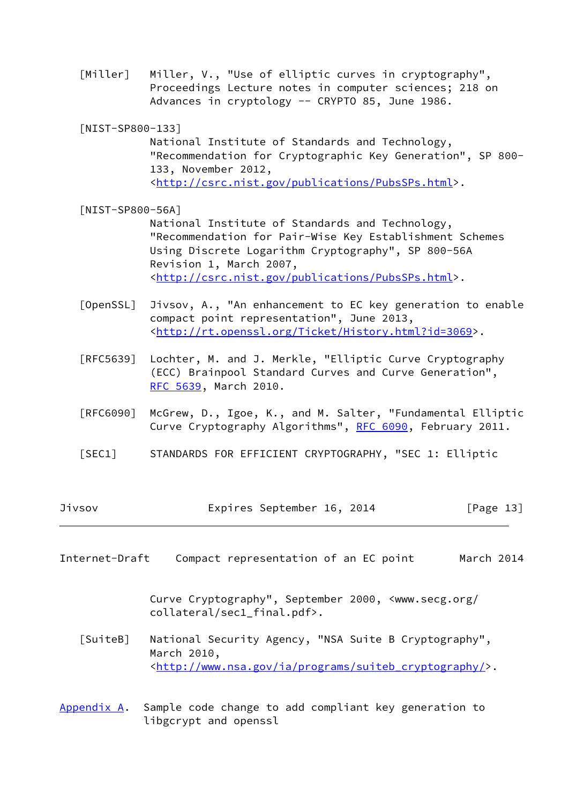<span id="page-14-4"></span> [Miller] Miller, V., "Use of elliptic curves in cryptography", Proceedings Lecture notes in computer sciences; 218 on Advances in cryptology -- CRYPTO 85, June 1986.

<span id="page-14-5"></span> [NIST-SP800-133] National Institute of Standards and Technology, "Recommendation for Cryptographic Key Generation", SP 800- 133, November 2012, <<http://csrc.nist.gov/publications/PubsSPs.html>>.

<span id="page-14-6"></span> [NIST-SP800-56A] National Institute of Standards and Technology, "Recommendation for Pair-Wise Key Establishment Schemes Using Discrete Logarithm Cryptography", SP 800-56A Revision 1, March 2007, <<http://csrc.nist.gov/publications/PubsSPs.html>>.

- <span id="page-14-7"></span> [OpenSSL] Jivsov, A., "An enhancement to EC key generation to enable compact point representation", June 2013, <[http://rt.openssl.org/Ticket/History.html?id=3069>](http://rt.openssl.org/Ticket/History.html?id=3069).
- [RFC5639] Lochter, M. and J. Merkle, "Elliptic Curve Cryptography (ECC) Brainpool Standard Curves and Curve Generation", [RFC 5639,](https://datatracker.ietf.org/doc/pdf/rfc5639) March 2010.
- [RFC6090] McGrew, D., Igoe, K., and M. Salter, "Fundamental Elliptic Curve Cryptography Algorithms", [RFC 6090,](https://datatracker.ietf.org/doc/pdf/rfc6090) February 2011.
- <span id="page-14-3"></span>[SEC1] STANDARDS FOR EFFICIENT CRYPTOGRAPHY, "SEC 1: Elliptic

| Jivsov | Expires September 16, 2014 |  | [Page 13] |  |
|--------|----------------------------|--|-----------|--|
|        |                            |  |           |  |

<span id="page-14-1"></span>Internet-Draft Compact representation of an EC point March 2014

 Curve Cryptography", September 2000, <www.secg.org/ collateral/sec1\_final.pdf>.

<span id="page-14-2"></span> [SuiteB] National Security Agency, "NSA Suite B Cryptography", March 2010, <[http://www.nsa.gov/ia/programs/suiteb\\_cryptography/>](http://www.nsa.gov/ia/programs/suiteb_cryptography/).

<span id="page-14-0"></span>[Appendix A.](#page-14-0) Sample code change to add compliant key generation to libgcrypt and openssl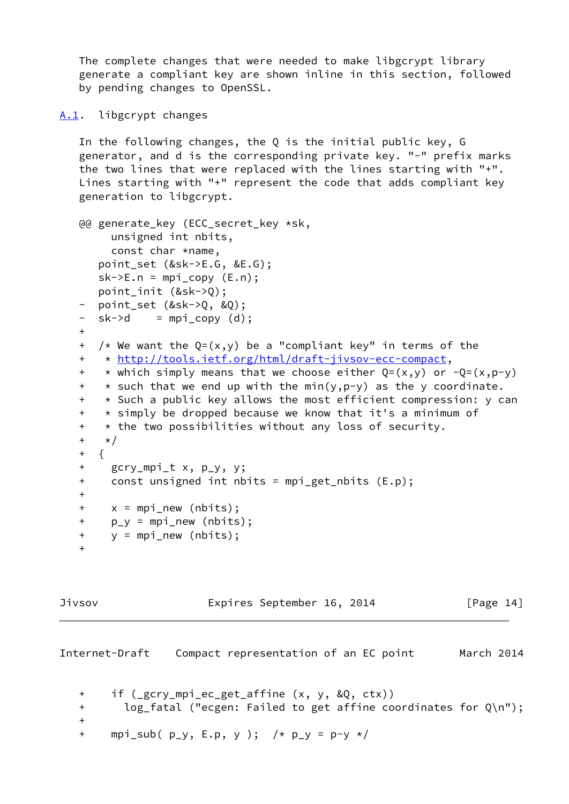The complete changes that were needed to make libgcrypt library generate a compliant key are shown inline in this section, followed by pending changes to OpenSSL.

```
A.1. libgcrypt changes
```
 In the following changes, the Q is the initial public key, G generator, and d is the corresponding private key. "-" prefix marks the two lines that were replaced with the lines starting with "+". Lines starting with "+" represent the code that adds compliant key generation to libgcrypt.

```
 @@ generate_key (ECC_secret_key *sk,
     unsigned int nbits,
     const char *name,
  point set (&sk->E.G, &E.G);
   sk->E.n = mpi_{copy} (E.n); point_init (&sk->Q);
  point_set (&sk->Q, &Q);
- sk->d = mpi_copy (d);
 +
+ /* We want the Q=(x,y) be a "compliant key" in terms of the
 + * http://tools.ietf.org/html/draft-jivsov-ecc-compact,
+ * which simply means that we choose either Q=(x,y) or -Q=(x,p-y)
+ * such that we end up with the min(y,p-y) as the y coordinate.
 + * Such a public key allows the most efficient compression: y can
 + * simply be dropped because we know that it's a minimum of
 + * the two possibilities without any loss of security.
 + */
 + {
 + gcry_mpi_t x, p_y, y;
 + const unsigned int nbits = mpi_get_nbits (E.p);
++ x = mpi_new (nbits);+ p y = mpi new (nbits);
 + y = mpi_new (nbits);
 +
```
Jivsov **Expires September 16, 2014** [Page 14]

```
Internet-Draft Compact representation of an EC point March 2014
   + if (_gcry_mpi_ec_get_affine (x, y, &Q, ctx))
   + log_fatal ("ecgen: Failed to get affine coordinates for Q\n");
   +
  + mpi_sub( p_y, E.p, y ); /* p_y = p_y / r
```